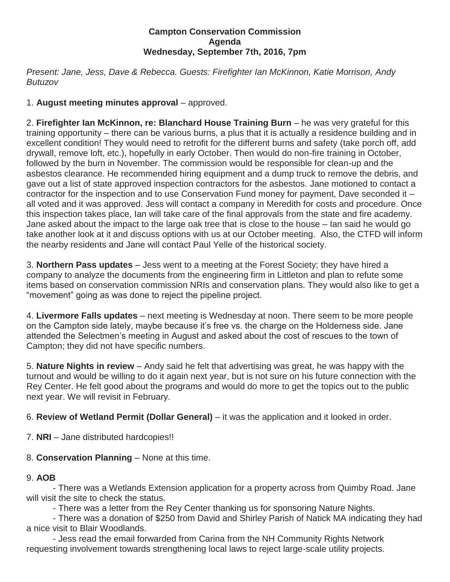## **Campton Conservation Commission Agenda Wednesday, September 7th, 2016, 7pm**

*Present: Jane, Jess, Dave & Rebecca. Guests: Firefighter Ian McKinnon, Katie Morrison, Andy Butuzov*

1. **August meeting minutes approval** – approved.

2. **Firefighter Ian McKinnon, re: Blanchard House Training Burn** – he was very grateful for this training opportunity – there can be various burns, a plus that it is actually a residence building and in excellent condition! They would need to retrofit for the different burns and safety (take porch off, add drywall, remove loft, etc.), hopefully in early October. Then would do non-fire training in October, followed by the burn in November. The commission would be responsible for clean-up and the asbestos clearance. He recommended hiring equipment and a dump truck to remove the debris, and gave out a list of state approved inspection contractors for the asbestos. Jane motioned to contact a contractor for the inspection and to use Conservation Fund money for payment, Dave seconded it – all voted and it was approved. Jess will contact a company in Meredith for costs and procedure. Once this inspection takes place, Ian will take care of the final approvals from the state and fire academy. Jane asked about the impact to the large oak tree that is close to the house – Ian said he would go take another look at it and discuss options with us at our October meeting. Also, the CTFD will inform the nearby residents and Jane will contact Paul Yelle of the historical society.

3. **Northern Pass updates** – Jess went to a meeting at the Forest Society; they have hired a company to analyze the documents from the engineering firm in Littleton and plan to refute some items based on conservation commission NRIs and conservation plans. They would also like to get a "movement" going as was done to reject the pipeline project.

4. **Livermore Falls updates** – next meeting is Wednesday at noon. There seem to be more people on the Campton side lately, maybe because it's free vs. the charge on the Holderness side. Jane attended the Selectmen's meeting in August and asked about the cost of rescues to the town of Campton; they did not have specific numbers.

5. **Nature Nights in review** – Andy said he felt that advertising was great, he was happy with the turnout and would be willing to do it again next year, but is not sure on his future connection with the Rey Center. He felt good about the programs and would do more to get the topics out to the public next year. We will revisit in February.

6. **Review of Wetland Permit (Dollar General)** – it was the application and it looked in order.

7. **NRI** – Jane distributed hardcopies!!

8. **Conservation Planning** – None at this time.

## 9. **AOB**

- There was a Wetlands Extension application for a property across from Quimby Road. Jane will visit the site to check the status.

- There was a letter from the Rey Center thanking us for sponsoring Nature Nights.

- There was a donation of \$250 from David and Shirley Parish of Natick MA indicating they had a nice visit to Blair Woodlands.

- Jess read the email forwarded from Carina from the NH Community Rights Network requesting involvement towards strengthening local laws to reject large-scale utility projects.